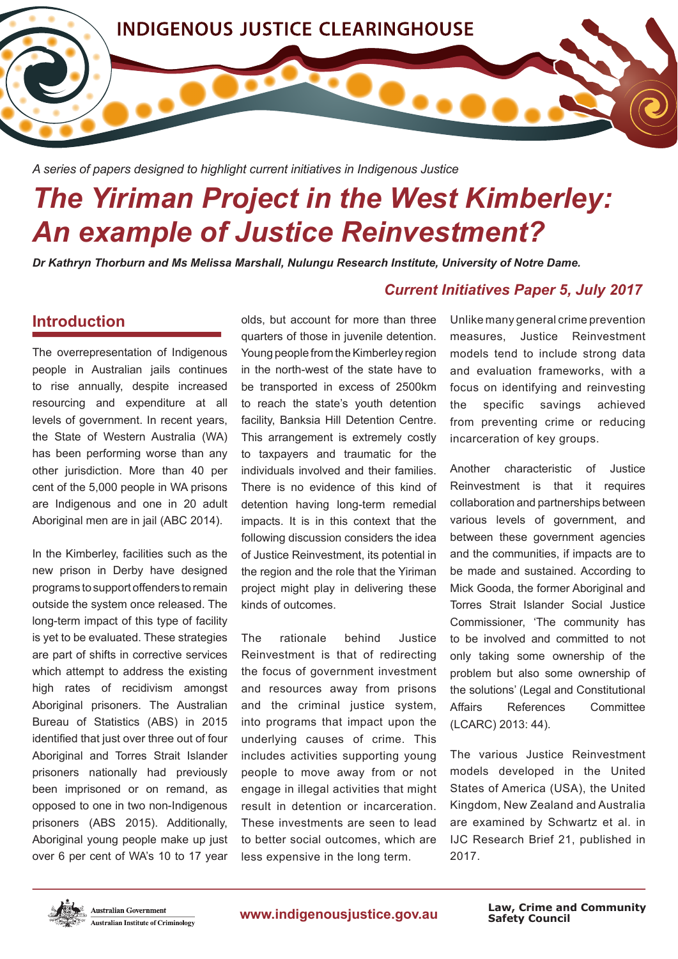

*A series of papers designed to highlight current initiatives in Indigenous Justice*

# *The Yiriman Project in the West Kimberley: An example of Justice Reinvestment?*

*Dr Kathryn Thorburn and Ms Melissa Marshall, Nulungu Research Institute, University of Notre Dame.*

# **Introduction**

The overrepresentation of Indigenous people in Australian jails continues to rise annually, despite increased resourcing and expenditure at all levels of government. In recent years, the State of Western Australia (WA) has been performing worse than any other jurisdiction. More than 40 per cent of the 5,000 people in WA prisons are Indigenous and one in 20 adult Aboriginal men are in jail (ABC 2014).

In the Kimberley, facilities such as the new prison in Derby have designed programs to support offenders to remain outside the system once released. The long-term impact of this type of facility is yet to be evaluated. These strategies are part of shifts in corrective services which attempt to address the existing high rates of recidivism amongst Aboriginal prisoners. The Australian Bureau of Statistics (ABS) in 2015 identifed that just over three out of four Aboriginal and Torres Strait Islander prisoners nationally had previously been imprisoned or on remand, as opposed to one in two non-Indigenous prisoners (ABS 2015). Additionally, Aboriginal young people make up just over 6 per cent of WA's 10 to 17 year olds, but account for more than three quarters of those in juvenile detention. Young people from the Kimberley region in the north-west of the state have to be transported in excess of 2500km to reach the state's youth detention facility, Banksia Hill Detention Centre. This arrangement is extremely costly to taxpayers and traumatic for the individuals involved and their families. There is no evidence of this kind of detention having long-term remedial impacts. It is in this context that the following discussion considers the idea of Justice Reinvestment, its potential in the region and the role that the Yiriman project might play in delivering these kinds of outcomes.

The rationale behind Justice Reinvestment is that of redirecting the focus of government investment and resources away from prisons and the criminal justice system, into programs that impact upon the underlying causes of crime. This includes activities supporting young people to move away from or not engage in illegal activities that might result in detention or incarceration. These investments are seen to lead to better social outcomes, which are less expensive in the long term.

## *Current Initiatives Paper 5, July 2017*

Unlike many general crime prevention measures, Justice Reinvestment models tend to include strong data and evaluation frameworks, with a focus on identifying and reinvesting the specific savings achieved from preventing crime or reducing incarceration of key groups.

Another characteristic of Justice Reinvestment is that it requires collaboration and partnerships between various levels of government, and between these government agencies and the communities, if impacts are to be made and sustained. According to Mick Gooda, the former Aboriginal and Torres Strait Islander Social Justice Commissioner, 'The community has to be involved and committed to not only taking some ownership of the problem but also some ownership of the solutions' (Legal and Constitutional Affairs References Committee (LCARC) 2013: 44).

The various Justice Reinvestment models developed in the United States of America (USA), the United Kingdom, New Zealand and Australia are examined by Schwartz et al. in IJC Research Brief 21, published in 2017.



www.indigenousjustice.gov.au

**Safety Council Law, Crime and Community**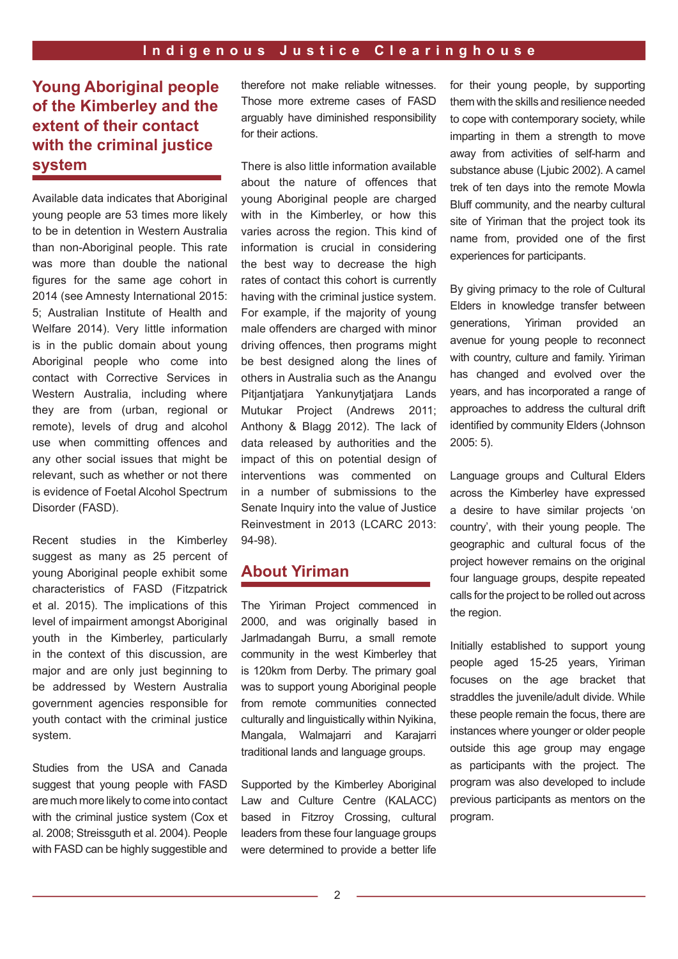# **Young Aboriginal people of the Kimberley and the extent of their contact with the criminal justice system**

Available data indicates that Aboriginal young people are 53 times more likely to be in detention in Western Australia than non-Aboriginal people. This rate was more than double the national fgures for the same age cohort in 2014 (see Amnesty International 2015: 5; Australian Institute of Health and Welfare 2014). Very little information is in the public domain about young Aboriginal people who come into contact with Corrective Services in Western Australia, including where they are from (urban, regional or remote), levels of drug and alcohol use when committing offences and any other social issues that might be relevant, such as whether or not there is evidence of Foetal Alcohol Spectrum Disorder (FASD).

Recent studies in the Kimberley suggest as many as 25 percent of young Aboriginal people exhibit some characteristics of FASD (Fitzpatrick et al. 2015). The implications of this level of impairment amongst Aboriginal youth in the Kimberley, particularly in the context of this discussion, are major and are only just beginning to be addressed by Western Australia government agencies responsible for youth contact with the criminal justice system.

Studies from the USA and Canada suggest that young people with FASD are much more likely to come into contact with the criminal justice system (Cox et al. 2008; Streissguth et al. 2004). People with FASD can be highly suggestible and therefore not make reliable witnesses. Those more extreme cases of FASD arguably have diminished responsibility for their actions.

There is also little information available about the nature of offences that young Aboriginal people are charged with in the Kimberley, or how this varies across the region. This kind of information is crucial in considering the best way to decrease the high rates of contact this cohort is currently having with the criminal justice system. For example, if the majority of young male offenders are charged with minor driving offences, then programs might be best designed along the lines of others in Australia such as the Anangu Pitjantjatjara Yankunytjatjara Lands Mutukar Project (Andrews 2011; Anthony & Blagg 2012). The lack of data released by authorities and the impact of this on potential design of interventions was commented on in a number of submissions to the Senate Inquiry into the value of Justice Reinvestment in 2013 (LCARC 2013: 94-98).

# **About Yiriman**

The Yiriman Project commenced in 2000, and was originally based in Jarlmadangah Burru, a small remote community in the west Kimberley that is 120km from Derby. The primary goal was to support young Aboriginal people from remote communities connected culturally and linguistically within Nyikina, Mangala, Walmajarri and Karajarri traditional lands and language groups.

Supported by the Kimberley Aboriginal Law and Culture Centre (KALACC) based in Fitzroy Crossing, cultural leaders from these four language groups were determined to provide a better life

for their young people, by supporting them with the skills and resilience needed to cope with contemporary society, while imparting in them a strength to move away from activities of self-harm and substance abuse (Ljubic 2002). A camel trek of ten days into the remote Mowla Bluff community, and the nearby cultural site of Yiriman that the project took its name from, provided one of the frst experiences for participants.

By giving primacy to the role of Cultural Elders in knowledge transfer between generations, Yiriman provided an avenue for young people to reconnect with country, culture and family. Yiriman has changed and evolved over the years, and has incorporated a range of approaches to address the cultural drift identified by community Elders (Johnson 2005: 5).

Language groups and Cultural Elders across the Kimberley have expressed a desire to have similar projects 'on country', with their young people. The geographic and cultural focus of the project however remains on the original four language groups, despite repeated calls for the project to be rolled out across the region.

Initially established to support young people aged 15-25 years, Yiriman focuses on the age bracket that straddles the juvenile/adult divide. While these people remain the focus, there are instances where younger or older people outside this age group may engage as participants with the project. The program was also developed to include previous participants as mentors on the program.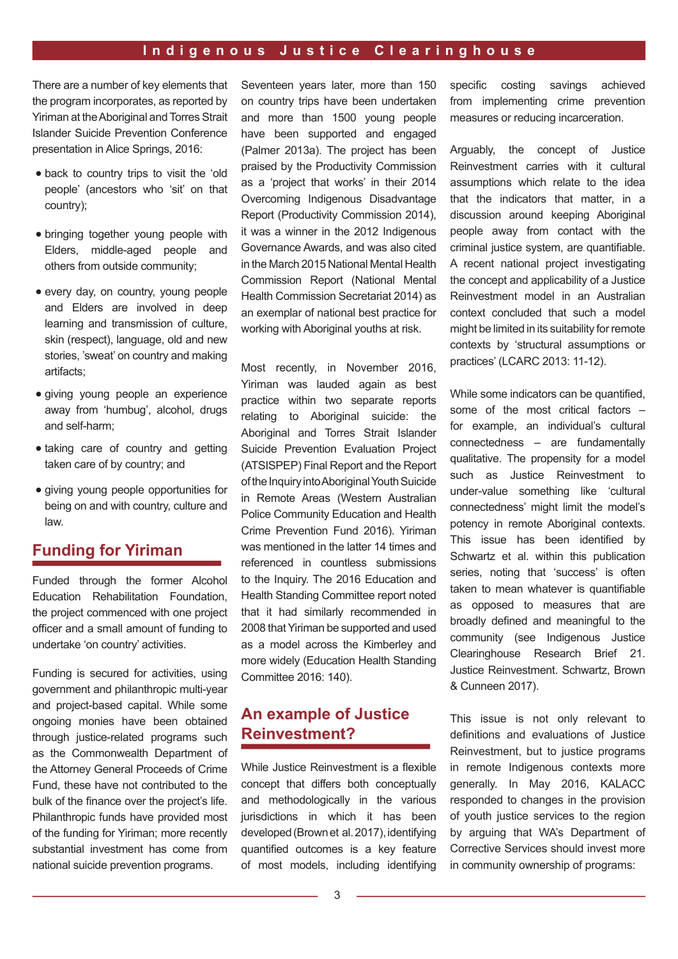There are a number of key elements that the program incorporates, as reported by Yiriman at the Aboriginal and Torres Strait Islander Suicide Prevention Conference presentation in Alice Springs, 2016:

- back to country trips to visit the 'old people' (ancestors who 'sit' on that country);
- bringing together young people with Elders, middle-aged people and others from outside community;
- every day, on country, young people and Elders are involved in deep learning and transmission of culture, skin (respect), language, old and new stories, 'sweat' on country and making artifacts;
- giving young people an experience away from 'humbug', alcohol, drugs and self-harm;
- taking care of country and getting taken care of by country; and
- giving young people opportunities for being on and with country, culture and law.

## **Funding for Yiriman**

Funded through the former Alcohol Education Rehabilitation Foundation, the project commenced with one project officer and a small amount of funding to undertake 'on country' activities.

Funding is secured for activities, using government and philanthropic multi-year and project-based capital. While some ongoing monies have been obtained through justice-related programs such as the Commonwealth Department of the Attorney General Proceeds of Crime Fund, these have not contributed to the bulk of the fnance over the project's life. Philanthropic funds have provided most of the funding for Yiriman; more recently substantial investment has come from national suicide prevention programs.

Seventeen years later, more than 150 on country trips have been undertaken and more than 1500 young people have been supported and engaged (Palmer 2013a). The project has been praised by the Productivity Commission as a 'project that works' in their 2014 Overcoming Indigenous Disadvantage Report (Productivity Commission 2014), it was a winner in the 2012 Indigenous Governance Awards, and was also cited in the March 2015 National Mental Health Commission Report (National Mental Health Commission Secretariat 2014) as an exemplar of national best practice for working with Aboriginal youths at risk.

Most recently, in November 2016, Yiriman was lauded again as best practice within two separate reports relating to Aboriginal suicide: the Aboriginal and Torres Strait Islander Suicide Prevention Evaluation Project (ATSISPEP) Final Report and the Report of the Inquiry into Aboriginal Youth Suicide in Remote Areas (Western Australian Police Community Education and Health Crime Prevention Fund 2016). Yiriman was mentioned in the latter 14 times and referenced in countless submissions to the Inquiry. The 2016 Education and Health Standing Committee report noted that it had similarly recommended in 2008 that Yiriman be supported and used as a model across the Kimberley and more widely (Education Health Standing Committee 2016: 140).

## **An example of Justice Reinvestment?**

While Justice Reinvestment is a flexible concept that differs both conceptually and methodologically in the various jurisdictions in which it has been developed (Brown et al. 2017), identifying quantifed outcomes is a key feature of most models, including identifying specifc costing savings achieved from implementing crime prevention measures or reducing incarceration.

Arguably, the concept of Justice Reinvestment carries with it cultural assumptions which relate to the idea that the indicators that matter, in a discussion around keeping Aboriginal people away from contact with the criminal justice system, are quantifable. A recent national project investigating the concept and applicability of a Justice Reinvestment model in an Australian context concluded that such a model might be limited in its suitability for remote contexts by 'structural assumptions or practices' (LCARC 2013: 11-12).

While some indicators can be quantified. some of the most critical factors – for example, an individual's cultural connectedness – are fundamentally qualitative. The propensity for a model such as Justice Reinvestment to under-value something like 'cultural connectedness' might limit the model's potency in remote Aboriginal contexts. This issue has been identifed by Schwartz et al. within this publication series, noting that 'success' is often taken to mean whatever is quantifable as opposed to measures that are broadly defined and meaningful to the community (see Indigenous Justice Clearinghouse Research Brief 21. Justice Reinvestment. Schwartz, Brown & Cunneen 2017).

This issue is not only relevant to definitions and evaluations of Justice Reinvestment, but to justice programs in remote Indigenous contexts more generally. In May 2016, KALACC responded to changes in the provision of youth justice services to the region by arguing that WA's Department of Corrective Services should invest more in community ownership of programs: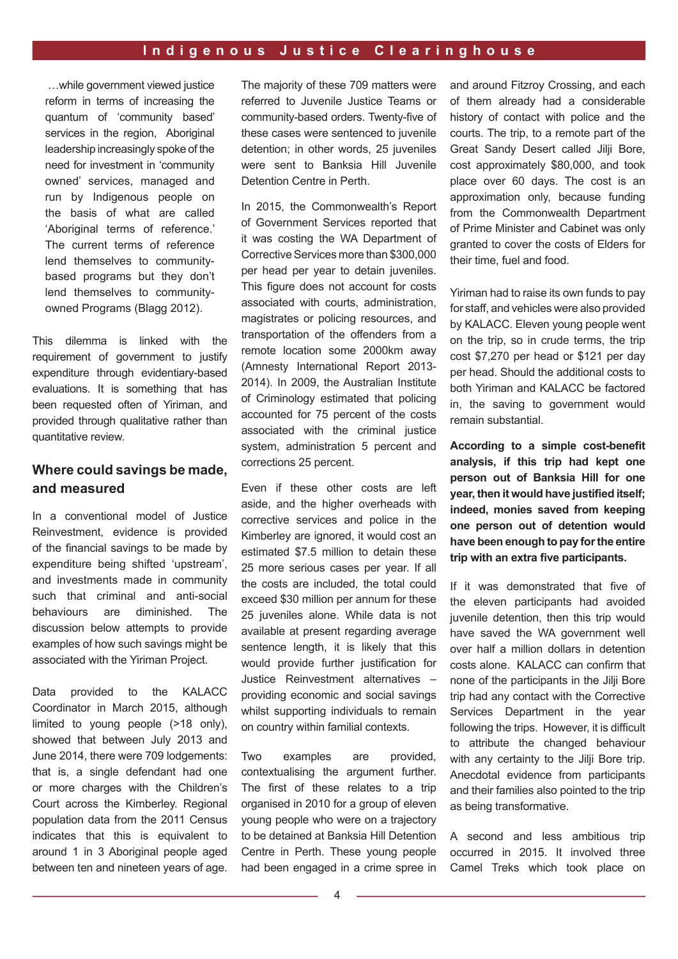…while government viewed justice reform in terms of increasing the quantum of 'community based' services in the region. Aboriginal leadership increasingly spoke of the need for investment in 'community owned' services, managed and run by Indigenous people on the basis of what are called 'Aboriginal terms of reference.' The current terms of reference lend themselves to communitybased programs but they don't lend themselves to communityowned Programs (Blagg 2012).

This dilemma is linked with the requirement of government to justify expenditure through evidentiary-based evaluations. It is something that has been requested often of Yiriman, and provided through qualitative rather than quantitative review.

#### **Where could savings be made, and measured**

In a conventional model of Justice Reinvestment, evidence is provided of the fnancial savings to be made by expenditure being shifted 'upstream', and investments made in community such that criminal and anti-social behaviours are diminished. The discussion below attempts to provide examples of how such savings might be associated with the Yiriman Project.

Data provided to the KALACC Coordinator in March 2015, although limited to young people (>18 only), showed that between July 2013 and June 2014, there were 709 lodgements: that is, a single defendant had one or more charges with the Children's Court across the Kimberley. Regional population data from the 2011 Census indicates that this is equivalent to around 1 in 3 Aboriginal people aged between ten and nineteen years of age. The majority of these 709 matters were referred to Juvenile Justice Teams or community-based orders. Twenty-five of these cases were sentenced to juvenile detention; in other words, 25 juveniles were sent to Banksia Hill Juvenile Detention Centre in Perth.

In 2015, the Commonwealth's Report of Government Services reported that it was costing the WA Department of Corrective Services more than \$300,000 per head per year to detain juveniles. This figure does not account for costs associated with courts, administration, magistrates or policing resources, and transportation of the offenders from a remote location some 2000km away (Amnesty International Report 2013- 2014). In 2009, the Australian Institute of Criminology estimated that policing accounted for 75 percent of the costs associated with the criminal justice system, administration 5 percent and corrections 25 percent.

Even if these other costs are left aside, and the higher overheads with corrective services and police in the Kimberley are ignored, it would cost an estimated \$7.5 million to detain these 25 more serious cases per year. If all the costs are included, the total could exceed \$30 million per annum for these 25 juveniles alone. While data is not available at present regarding average sentence length, it is likely that this would provide further justifcation for Justice Reinvestment alternatives – providing economic and social savings whilst supporting individuals to remain on country within familial contexts.

Two examples are provided, contextualising the argument further. The first of these relates to a trip organised in 2010 for a group of eleven young people who were on a trajectory to be detained at Banksia Hill Detention Centre in Perth. These young people had been engaged in a crime spree in and around Fitzroy Crossing, and each of them already had a considerable history of contact with police and the courts. The trip, to a remote part of the Great Sandy Desert called Jilji Bore, cost approximately \$80,000, and took place over 60 days. The cost is an approximation only, because funding from the Commonwealth Department of Prime Minister and Cabinet was only granted to cover the costs of Elders for their time, fuel and food.

Yiriman had to raise its own funds to pay for staff, and vehicles were also provided by KALACC. Eleven young people went on the trip, so in crude terms, the trip cost \$7,270 per head or \$121 per day per head. Should the additional costs to both Yiriman and KALACC be factored in, the saving to government would remain substantial.

**According to a simple cost-beneft analysis, if this trip had kept one person out of Banksia Hill for one year, then it would have justifed itself; indeed, monies saved from keeping one person out of detention would have been enough to pay for the entire**  trip with an extra five participants.

If it was demonstrated that five of the eleven participants had avoided juvenile detention, then this trip would have saved the WA government well over half a million dollars in detention costs alone. KALACC can confrm that none of the participants in the Jilji Bore trip had any contact with the Corrective Services Department in the year following the trips. However, it is difficult to attribute the changed behaviour with any certainty to the Jilji Bore trip. Anecdotal evidence from participants and their families also pointed to the trip as being transformative.

A second and less ambitious trip occurred in 2015. It involved three Camel Treks which took place on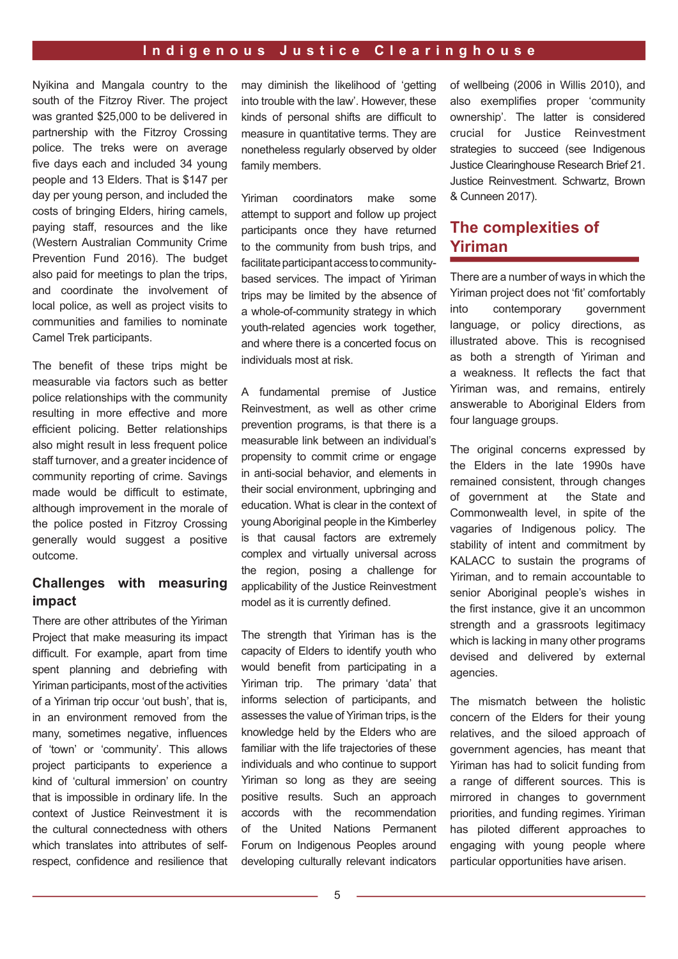Nyikina and Mangala country to the south of the Fitzroy River. The project was granted \$25,000 to be delivered in partnership with the Fitzroy Crossing police. The treks were on average five days each and included 34 young people and 13 Elders. That is \$147 per day per young person, and included the costs of bringing Elders, hiring camels, paying staff, resources and the like (Western Australian Community Crime Prevention Fund 2016). The budget also paid for meetings to plan the trips, and coordinate the involvement of local police, as well as project visits to communities and families to nominate Camel Trek participants.

The benefit of these trips might be measurable via factors such as better police relationships with the community resulting in more effective and more efficient policing. Better relationships also might result in less frequent police staff turnover, and a greater incidence of community reporting of crime. Savings made would be difficult to estimate, although improvement in the morale of the police posted in Fitzroy Crossing generally would suggest a positive outcome.

### **Challenges with measuring impact**

There are other attributes of the Yiriman Project that make measuring its impact difficult. For example, apart from time spent planning and debriefing with Yiriman participants, most of the activities of a Yiriman trip occur 'out bush', that is, in an environment removed from the many, sometimes negative, influences of 'town' or 'community'. This allows project participants to experience a kind of 'cultural immersion' on country that is impossible in ordinary life. In the context of Justice Reinvestment it is the cultural connectedness with others which translates into attributes of selfrespect, confidence and resilience that may diminish the likelihood of 'getting into trouble with the law'. However, these kinds of personal shifts are difficult to measure in quantitative terms. They are nonetheless regularly observed by older family members.

Yiriman coordinators make some attempt to support and follow up project participants once they have returned to the community from bush trips, and facilitate participant access to communitybased services. The impact of Yiriman trips may be limited by the absence of a whole-of-community strategy in which youth-related agencies work together, and where there is a concerted focus on individuals most at risk.

A fundamental premise of Justice Reinvestment, as well as other crime prevention programs, is that there is a measurable link between an individual's propensity to commit crime or engage in anti-social behavior, and elements in their social environment, upbringing and education. What is clear in the context of young Aboriginal people in the Kimberley is that causal factors are extremely complex and virtually universal across the region, posing a challenge for applicability of the Justice Reinvestment model as it is currently defined.

The strength that Yiriman has is the capacity of Elders to identify youth who would benefit from participating in a Yiriman trip. The primary 'data' that informs selection of participants, and assesses the value of Yiriman trips, is the knowledge held by the Elders who are familiar with the life trajectories of these individuals and who continue to support Yiriman so long as they are seeing positive results. Such an approach accords with the recommendation of the United Nations Permanent Forum on Indigenous Peoples around developing culturally relevant indicators of wellbeing (2006 in Willis 2010), and also exemplifes proper 'community ownership'. The latter is considered crucial for Justice Reinvestment strategies to succeed (see Indigenous Justice Clearinghouse Research Brief 21. Justice Reinvestment. Schwartz, Brown & Cunneen 2017).

# **The complexities of Yiriman**

There are a number of ways in which the Yiriman project does not 'fit' comfortably into contemporary government language, or policy directions, as illustrated above. This is recognised as both a strength of Yiriman and a weakness. It refects the fact that Yiriman was, and remains, entirely answerable to Aboriginal Elders from four language groups.

The original concerns expressed by the Elders in the late 1990s have remained consistent, through changes of government at the State and Commonwealth level, in spite of the vagaries of Indigenous policy. The stability of intent and commitment by KALACC to sustain the programs of Yiriman, and to remain accountable to senior Aboriginal people's wishes in the frst instance, give it an uncommon strength and a grassroots legitimacy which is lacking in many other programs devised and delivered by external agencies.

The mismatch between the holistic concern of the Elders for their young relatives, and the siloed approach of government agencies, has meant that Yiriman has had to solicit funding from a range of different sources. This is mirrored in changes to government priorities, and funding regimes. Yiriman has piloted different approaches to engaging with young people where particular opportunities have arisen.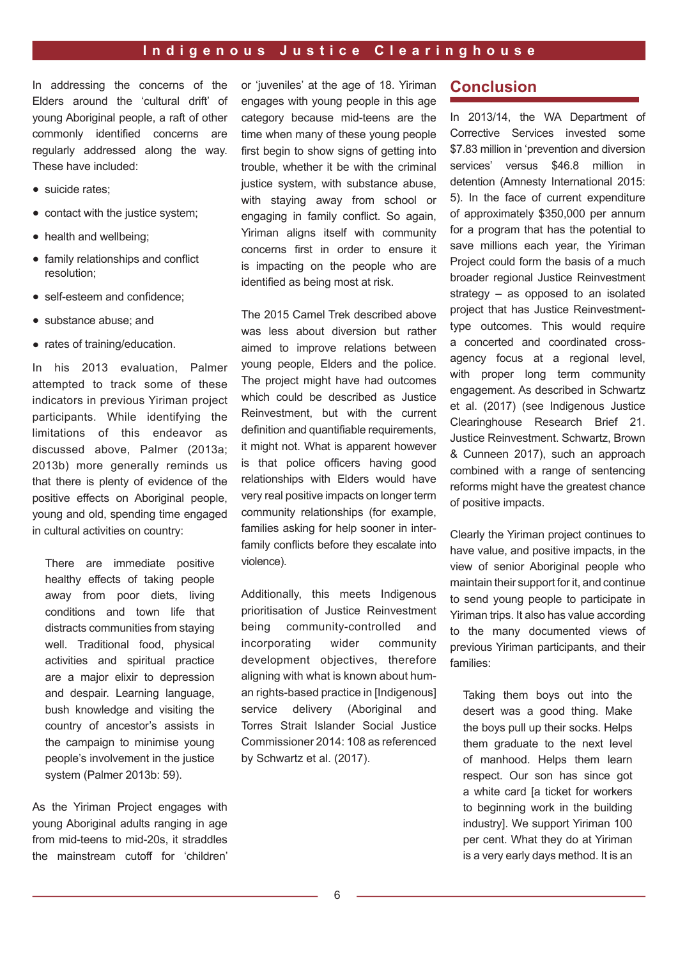In addressing the concerns of the Elders around the 'cultural drift' of young Aboriginal people, a raft of other commonly identifed concerns are regularly addressed along the way. These have included:

- suicide rates:
- contact with the justice system;
- health and wellbeing;
- family relationships and confict resolution;
- self-esteem and confidence:
- substance abuse; and
- rates of training/education.

In his 2013 evaluation, Palmer attempted to track some of these indicators in previous Yiriman project participants. While identifying the limitations of this endeavor as discussed above, Palmer (2013a; 2013b) more generally reminds us that there is plenty of evidence of the positive effects on Aboriginal people, young and old, spending time engaged in cultural activities on country:

There are immediate positive healthy effects of taking people away from poor diets, living conditions and town life that distracts communities from staying well. Traditional food, physical activities and spiritual practice are a major elixir to depression and despair. Learning language, bush knowledge and visiting the country of ancestor's assists in the campaign to minimise young people's involvement in the justice system (Palmer 2013b: 59).

As the Yiriman Project engages with young Aboriginal adults ranging in age from mid-teens to mid-20s, it straddles the mainstream cutoff for 'children'

or 'juveniles' at the age of 18. Yiriman engages with young people in this age category because mid-teens are the time when many of these young people first begin to show signs of getting into trouble, whether it be with the criminal justice system, with substance abuse, with staying away from school or engaging in family confict. 6o again, Yiriman aligns itself with community concerns first in order to ensure it is impacting on the people who are identifed as being most at risk.

The 2015 Camel Trek described above was less about diversion but rather aimed to improve relations between young people, Elders and the police. The project might have had outcomes which could be described as Justice Reinvestment, but with the current definition and quantifiable requirements, it might not. What is apparent however is that police officers having good relationships with Elders would have very real positive impacts on longer term community relationships (for example, families asking for help sooner in interfamily conflicts before they escalate into violence).

Additionally, this meets Indigenous prioritisation of Justice Reinvestment being community-controlled and incorporating wider community development objectives, therefore aligning with what is known about human rights-based practice in [Indigenous] service delivery (Aboriginal and Torres Strait Islander Social Justice Commissioner 2014: 108 as referenced by Schwartz et al. (2017).

## **Conclusion**

In 2013/14, the WA Department of Corrective Services invested some \$7.83 million in 'prevention and diversion services' versus \$46.8 million in detention (Amnesty International 2015: 5). In the face of current expenditure of approximately \$350,000 per annum for a program that has the potential to save millions each year, the Yiriman Project could form the basis of a much broader regional Justice Reinvestment strategy – as opposed to an isolated project that has Justice Reinvestmenttype outcomes. This would require a concerted and coordinated crossagency focus at a regional level, with proper long term community engagement. As described in Schwartz et al. (2017) (see Indigenous Justice Clearinghouse Research Brief 21. Justice Reinvestment. Schwartz, Brown & Cunneen 2017), such an approach combined with a range of sentencing reforms might have the greatest chance of positive impacts.

Clearly the Yiriman project continues to have value, and positive impacts, in the view of senior Aboriginal people who maintain their support for it, and continue to send young people to participate in Yiriman trips. It also has value according to the many documented views of previous Yiriman participants, and their families:

Taking them boys out into the desert was a good thing. Make the boys pull up their socks. Helps them graduate to the next level of manhood. Helps them learn respect. Our son has since got a white card [a ticket for workers to beginning work in the building industry]. We support Yiriman 100 per cent. What they do at Yiriman is a very early days method. It is an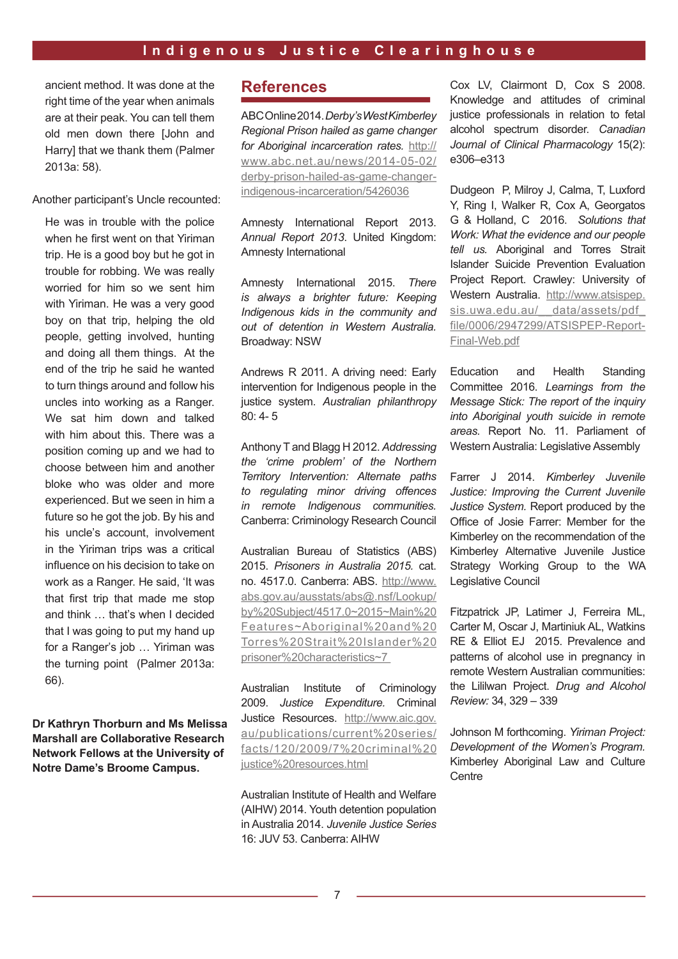ancient method. It was done at the right time of the year when animals are at their peak. You can tell them old men down there [John and Harry] that we thank them (Palmer 2013a: 58).

Another participant's Uncle recounted:

He was in trouble with the police when he first went on that Yiriman trip. He is a good boy but he got in trouble for robbing. We was really worried for him so we sent him with Yiriman. He was a very good boy on that trip, helping the old people, getting involved, hunting and doing all them things. At the end of the trip he said he wanted to turn things around and follow his uncles into working as a Ranger. We sat him down and talked with him about this. There was a position coming up and we had to choose between him and another bloke who was older and more experienced. But we seen in him a future so he got the job. By his and his uncle's account, involvement in the Yiriman trips was a critical infuence on his decision to take on work as a Ranger. He said, 'It was that first trip that made me stop and think ... that's when I decided that I was going to put my hand up for a Ranger's job ... Yiriman was the turning point (Palmer 2013a: 66).

**Dr Kathryn Thorburn and Ms Melissa Marshall are Collaborative Research Network Fellows at the University of Notre Dame's Broome Campus.** 

# **References**

ABC Online 2014. *Derby's West Kimberley Regional Prison hailed as game changer for Aboriginal incarceration rates.* http:// www.abc.net.au/news/2014-05-02/ derby-prison-hailed-as-game-changerindigenous-incarceration/5426036

Amnesty International Report 2013. *Annual Report 2013*. United Kingdom: Amnesty International

Amnesty International 2015. *There is always a brighter future: Keeping Indigenous kids in the community and out of detention in Western Australia.*  Broadway: NSW

Andrews R 2011. A driving need: Early intervention for Indigenous people in the justice system. *Australian philanthropy*  80: 4- 5

Anthony T and Blagg H 2012. *Addressing the 'crime problem' of the Northern Territory Intervention: Alternate paths to regulating minor driving offences in remote Indigenous communities.*  Canberra: Criminology Research Council

Australian Bureau of Statistics (ABS) 2015. *Prisoners in Australia 2015.* cat. no. 4517.0. Canberra: ABS. http://www. abs.gov.au/ausstats/abs@.nsf/Lookup/ by%20Subject/4517.0~2015~Main%20 Features~Aboriginal%20and%20 Torres%20Strait%20Islander%20 prisoner%20characteristics~7

Australian Institute of Criminology 2009. *Justice Expenditure.* Criminal Justice Resources. http://www.aic.gov. au/publications/current%20series/ facts/120/2009/7%20criminal%20 justice%20resources.html

Australian Institute of Health and Welfare (AIHW) 2014. Youth detention population in Australia 2014. *Juvenile Justice Series* 16: JUV 53. Canberra: AIHW

Cox LV, Clairmont D, Cox S 2008. Knowledge and attitudes of criminal justice professionals in relation to fetal alcohol spectrum disorder. *Canadian Journal of Clinical Pharmacology* 15(2): e306–e313

Dudgeon P, Milroy J, Calma, T, Luxford Y, Ring I, Walker R, Cox A, Georgatos G & Holland, C 2016. *Solutions that Work: What the evidence and our people tell us.* Aboriginal and Torres Strait Islander Suicide Prevention Evaluation Project Report. Crawley: University of Western Australia. http://www.atsispep. sis.uwa.edu.au/\_\_data/assets/pdf\_ file/0006/2947299/ATSISPEP-Report-Final-Web.pdf

Education and Health Standing Committee 2016. *Learnings from the Message Stick: The report of the inquiry into Aboriginal youth suicide in remote areas.* Report No. 11. Parliament of Western Australia: Legislative Assembly

Farrer J 2014. *Kimberley Juvenile Justice: Improving the Current Juvenile Justice System.* Report produced by the Office of Josie Farrer: Member for the Kimberley on the recommendation of the Kimberley Alternative Juvenile Justice Strategy Working Group to the WA Legislative Council

Fitzpatrick JP, Latimer J, Ferreira ML, Carter M, Oscar J, Martiniuk AL, Watkins RE & Elliot EJ 2015. Prevalence and patterns of alcohol use in pregnancy in remote Western Australian communities: the Lililwan Project. *Drug and Alcohol Review:* 34, 329 – 339

Johnson M forthcoming. *Yiriman Project: Development of the Women's Program.*  Kimberley Aboriginal Law and Culture **Centre**